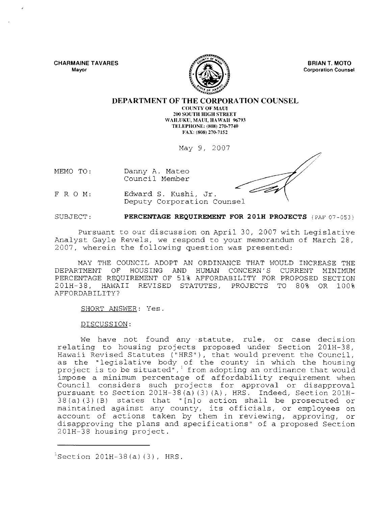**CHARMAINE TAVARES Mayor** 



**BRIAN T. MOTO Corporation Counsel** 

## **DEPARTMENT OF THE CORPORATION COUNSEL**

**COUNTY OF MAlH 200 SOUTH HIGH STREET** WAILUKU, MAUI, HAWAH 96793 **TELEPHONE,** (808) 270-7740 FAX, (808) 270-7152

May 9, 2007

MEMO TO: Danny A. Mateo Council Member

FRO M: Edward S. Kushi, Jr. Deputy Corporation Counsel

SUBJECT: **PERCENTAGE REQUIREMENT FOR 201H PROJECTS** (PAF 07 -053)

Pursuant to our discussion on April 30, 2007 with Legislative Analyst Gayle Revels, we respond to your memorandum of March 28, 2007, wherein the following question was presented:

MAY THE COUNCIL ADOPT AN ORDINANCE THAT WOULD INCREASE THE DEPARTMENT OF HOUSING AND HUMAN CONCERN'S CURRENT MINIMUM PERCENTAGE REQUIREMENT OF 51% AFFORDABILITY FOR PROPOSED SECTION 201H-38, HAWAII REVISED STATUTES, PROJECTS TO 80% OR 100% AFFORDABILITY?

SHORT ANSWER: Yes.

DISCUSSION:

We have not found any 'statute, rule, or case decision relating to housing projects proposed under Section 20lH-38, Hawaii Revised Statutes ("HRS"), that would prevent the Council, as the "legislative body of the county in which the housing project is to be situated", I from adopting an ordinance that would impose a minimum percentage of affordability requirement when Council considers such projects for approval or disapproval pursuant to Section 20lH-38(a) (3) (A), HRS. Indeed, Section 20lH- $38(a)(3)(B)$  states that "[n]o action shall be prosecuted or maintained against any county, its officials, or employees on account of actions taken by them in reviewing, approving, or disapproving the plans and specifications" of a proposed Section 20lH-38 housing project.

 $^{2}$ Section 201H-38(a)(3), HRS.